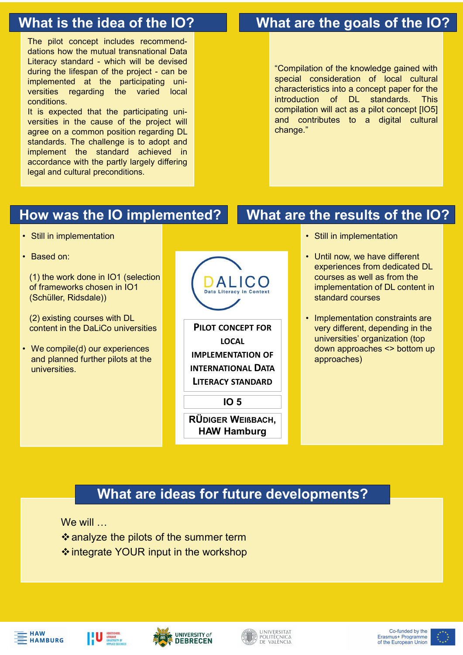**Solution Section 19 and the Development of the Development of the pilot concept includes recommend-**<br> **Compilations how the mutual transnational Data**<br>
Literacy standard - which will be devised<br>
during the lifespan of the **Solution Section Priorities and architecy standard**<br> **Compilations how the mutual transnational Data**<br>
Literacy standard - which will be devised<br>
Literacy standard - which will be devised<br>
uring the lifespan of the projec What are the goals of the local<br>
The pilot concept includes recommend-<br>
dations how the mutual transnational Data<br>
Literacy standard - which will be devised<br>
during the lifespan of the project - can be<br>
implemented at the **Solution Solution School Controller Controller Controller Controller Controller Controller Controller Controller Controller Controller Controller Controller Controller Controller Controller Controller Controller Controlle Fine pilot concept includes recommend-**<br>
The pilot concept includes recommend-<br>
dations how the mutual transnational Data<br>
Literacy standard - which will be devised<br>
implemented at the project - can be<br>
implemented at the Vhat is the idea of the IO?<br>
The pilot concept includes recommend-<br>
Literacy standard - which will be devised<br>
Literacy standard - which will be devised<br>
Literacy standard - which will be devised<br>
implemented at the partic conditions. **The pilot concept includes recommend-**<br> **ITHE pilot concept includes recommend-**<br> **ILIERTACY standard - which will be devised**<br> **Literacy standard - which will be devised**<br> **ILIERTACY standard - which will be devised<br>
Imp Solution of the idea of the IO?**<br>
The pilot concept includes recommend-<br>
dations how the mutual transnational Data<br>
diving the lifespan of the project - can be<br>
during the interplect will be devised<br>
implemented at the pr

**Fine** pilot concept includes recommend<br>
The pilot concept includes recommend-<br>
dations how the mutual transnational Data<br>
Literacy standard - which will be devised<br>
implemented at the project can be<br>
implemented at the pr **Solution Controlled Standards.** The pilot concept includes recommend-<br>
The pilot concept includes recommend-<br>
Literacy standard - which will be devised during the lifespan of the project - can be<br>
during the lifespan of t **Find the standard achieved in the standard achieved in the standard achiever standard achiever standard achiever standard achiever standard achiever standard achiever standard consideration of the knowledge gained with th Experience with the substrate of the substrate of the substrate the goals of the prior of the prior of the multiple difference with the difference with the difference with the participating universities into a concept pa The pilot concept includes recommend-**<br>
The pilot concept includes recommend-<br>
dations how the mutual transnational Data<br>
Literacy standard - which will be devised<br>
implemented at the profect can be<br>
implemented at the pa The pilot concept includes recommend-<br>
dations how the mutual transnational Data<br>
during the lifespan of the project - can be<br>
implemented at the participating uni-<br>
versities regarding the varied local<br>
versities regardin Literacy standard - which will be devised<br>
unipermeted at the participating uni-<br>
implemented at the participating uni-<br>
spesities regarding the varied local<br>
conditions.<br>
It is expected that the participating uni-<br>
agree

# What is the idea of the IO? What are the goals of the IO?

**and are the goals of the IO?**<br>
"Compilation of the knowledge gained with<br>
special consideration of local cultural<br>
characteristics into a concept paper for the<br>
introduction of DL standards. This<br>
compilation will act as **and the goals of the IO?**<br>
"Compilation of the knowledge gained with<br>
special consideration of local cultural<br>
characteristics into a concept paper for the<br>
introduction of DL standards. This<br>
compilation will act as a pi **and the goals of the IO?**<br>
"Compilation of the knowledge gained with<br>
special consideration of local cultural<br>
characteristics into a concept paper for the<br>
introduction of DL standards. This<br>
compilation will act as a pi **and the goals of the IO?**<br>
"Compilation of the knowledge gained with<br>
special consideration of local cultural<br>
characteristics into a concept paper for the<br>
introduction of DL standards. This<br>
compilation will act as a pi **at are the goals of the IO?**<br>
"Compilation of the knowledge gained with<br>
special consideration of local cultural<br>
characteristics into a concept paper for the<br>
introduction of DL standards. This<br>
compilation will act as a **and are the goals of the IO?**<br>
"Compilation of the knowledge gained with<br>
special consideration of local cultural<br>
characteristics into a concept paper for the<br>
introduction of DL standards. This<br>
compilation will act as change." ation of the knowledge gained with<br>
consideration of local cultural<br>
eristics into a concept paper for the<br>
tion of DL standards. This<br>
ion will act as a pilot concept [IO5]<br>
mitributes to a digital cultural<br>
"<br> **the resul** ation of the knowledge gained with<br>
consideration of local cultural<br>
eristics into a concept paper for the<br>
tion of DL standards. This<br>
tion will act as a pilot concept [IO5]<br>
ontributes to a digital cultural<br>
"<br> **the resu** 

# How was the IO implemented?

- 
- 

(1) the work done in IO1 (selection of frameworks chosen in IO1 Detail iteracy in Context (Schüller, Ridsdale))

(2) existing courses with DL<br>content in the Dal iCo universities<br> **PILOT CONCEPT FOR** 

**and planned further pilots at the COVID-TENT IMPLEMENTATION OF** universities.



### What are the results of the IO?

- 
- experiences from dedicated DL courses as well as from the implementation of DL content in standard courses
- LOCAL **LOCAL** universities' organization (top whistributes to a digital cultural<br>
• The results of the IO?<br>
• Still in implementation<br>
• Until now, we have different<br>
• experiences from dedicated DL<br>
courses as well as from the<br>
implementation of DL content in<br>
standa very different, depending in the **he results of the IO?**<br>Still in implementation<br>Until now, we have different<br>experiences from dedicated DL<br>courses as well as from the<br>implementation of DL content in<br>standard courses<br>Implementation constraints are<br>very di approaches)

# What are ideas for future developments?

We will

❖ analyze the pilots of the summer term **V** integrate YOUR input in the workshop